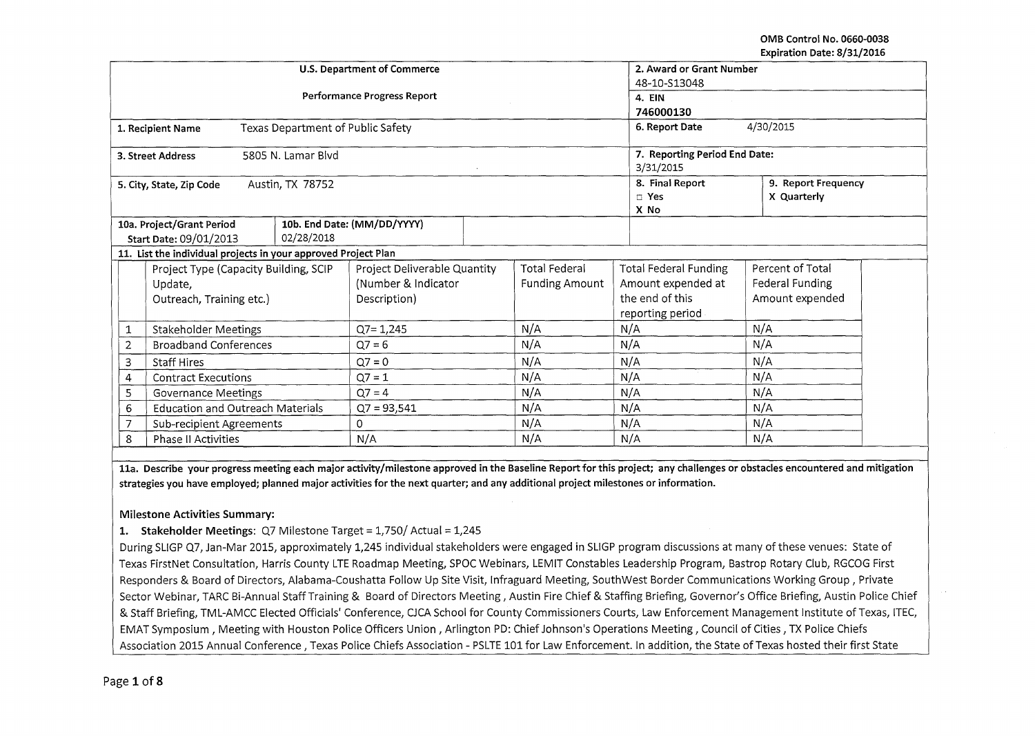|                                              |                                                                |  | U.S. Department of Commerce       |                              | 2. Award or Grant Number |                    |                                          |                                    |  |  |  |
|----------------------------------------------|----------------------------------------------------------------|--|-----------------------------------|------------------------------|--------------------------|--------------------|------------------------------------------|------------------------------------|--|--|--|
|                                              |                                                                |  |                                   | 48-10-S13048                 |                          |                    |                                          |                                    |  |  |  |
|                                              |                                                                |  | Performance Progress Report       | 4. EIN                       |                          |                    |                                          |                                    |  |  |  |
|                                              |                                                                |  |                                   | 746000130                    |                          |                    |                                          |                                    |  |  |  |
|                                              | 1. Recipient Name                                              |  | Texas Department of Public Safety |                              |                          |                    | 6. Report Date                           | 4/30/2015                          |  |  |  |
|                                              | 3. Street Address                                              |  | 5805 N. Lamar Blvd                |                              |                          |                    | 3/31/2015                                | 7. Reporting Period End Date:      |  |  |  |
|                                              | 5. City, State, Zip Code                                       |  | Austin, TX 78752                  |                              |                          |                    | 8. Final Report<br>$\square$ Yes<br>X No | 9. Report Frequency<br>X Quarterly |  |  |  |
|                                              | 10a. Project/Grant Period                                      |  |                                   | 10b. End Date: (MM/DD/YYYY)  |                          |                    |                                          |                                    |  |  |  |
|                                              | Start Date: 09/01/2013                                         |  | 02/28/2018                        |                              |                          |                    |                                          |                                    |  |  |  |
|                                              | 11. List the individual projects in your approved Project Plan |  |                                   |                              |                          |                    |                                          |                                    |  |  |  |
|                                              | Project Type (Capacity Building, SCIP                          |  |                                   | Project Deliverable Quantity |                          | Total Federal      | <b>Total Federal Funding</b>             | Percent of Total                   |  |  |  |
|                                              | Update,                                                        |  | (Number & Indicator               |                              | <b>Funding Amount</b>    | Amount expended at | Federal Funding                          |                                    |  |  |  |
|                                              | Outreach, Training etc.)                                       |  | Description)                      |                              |                          | the end of this    | Amount expended                          |                                    |  |  |  |
|                                              |                                                                |  |                                   |                              |                          |                    | reporting period                         |                                    |  |  |  |
| 1                                            | <b>Stakeholder Meetings</b>                                    |  |                                   | $Q7 = 1,245$                 |                          | N/A                | N/A                                      | N/A                                |  |  |  |
| $\overline{2}$                               | <b>Broadband Conferences</b>                                   |  |                                   | $Q7 = 6$                     |                          | N/A                | N/A                                      | N/A                                |  |  |  |
| 3                                            | <b>Staff Hires</b>                                             |  | $Q7 = 0$                          |                              | N/A                      | N/A                | N/A                                      |                                    |  |  |  |
| <b>Contract Executions</b><br>4              |                                                                |  | $Q7 = 1$                          |                              | N/A                      | N/A                | N/A                                      |                                    |  |  |  |
| 5<br><b>Governance Meetings</b>              |                                                                |  | $Q7 = 4$                          |                              | N/A                      | N/A                | N/A                                      |                                    |  |  |  |
| <b>Education and Outreach Materials</b><br>6 |                                                                |  | $Q7 = 93,541$                     |                              | N/A                      | N/A                | N/A                                      |                                    |  |  |  |
| Sub-recipient Agreements                     |                                                                |  | 0                                 |                              | N/A                      | N/A                | N/A                                      |                                    |  |  |  |
| 8<br>Phase II Activities                     |                                                                |  |                                   | N/A                          |                          | N/A                | N/A                                      | N/A                                |  |  |  |

lla. Describe your progress meeting each major activity/milestone approved in the Baseline Report for this project; any challenges or obstacles encountered and mitigation strategies you have employed; planned major activities for the next quarter; and any additional project milestones or information.

#### Milestone Activities Summary:

### 1. Stakeholder Meetings: Q7 Milestone Target = 1,750/ Actual = 1,245

During SLIGP Q7, Jan-Mar 2015, approximately 1,245 individual stakeholders were engaged in SLIGP program discussions at many of these venues: State of Texas FirstNet Consultation, Harris County LTE Roadmap Meeting, SPOC Webinars, LEMIT Constables Leadership Program, Bastrop Rotary Club, RGCOG First Responders & Board of Directors, Alabama-Coushatta Follow Up Site Visit, lnfraguard Meeting, SouthWest Border Communications Working Group, Private Sector Webinar, TARC Bi-Annual Staff Training & Board of Directors Meeting, Austin Fire Chief & Staffing Briefing, Governor's Office Briefing, Austin Police Chief & Staff Briefing, TML-AMCC Elected Officials' Conference, CJCA School for County Commissioners Courts, Law Enforcement Management Institute of Texas, ITEC, EMAT Symposium, Meeting with Houston Police Officers Union, Arlington PD: Chief Johnson's Operations Meeting, Council of Cities, TX Police Chiefs Association 2015 Annual Conference , Texas Police Chiefs Association - PSLTE 101 for Law Enforcement. In addition, the State of Texas hosted their first State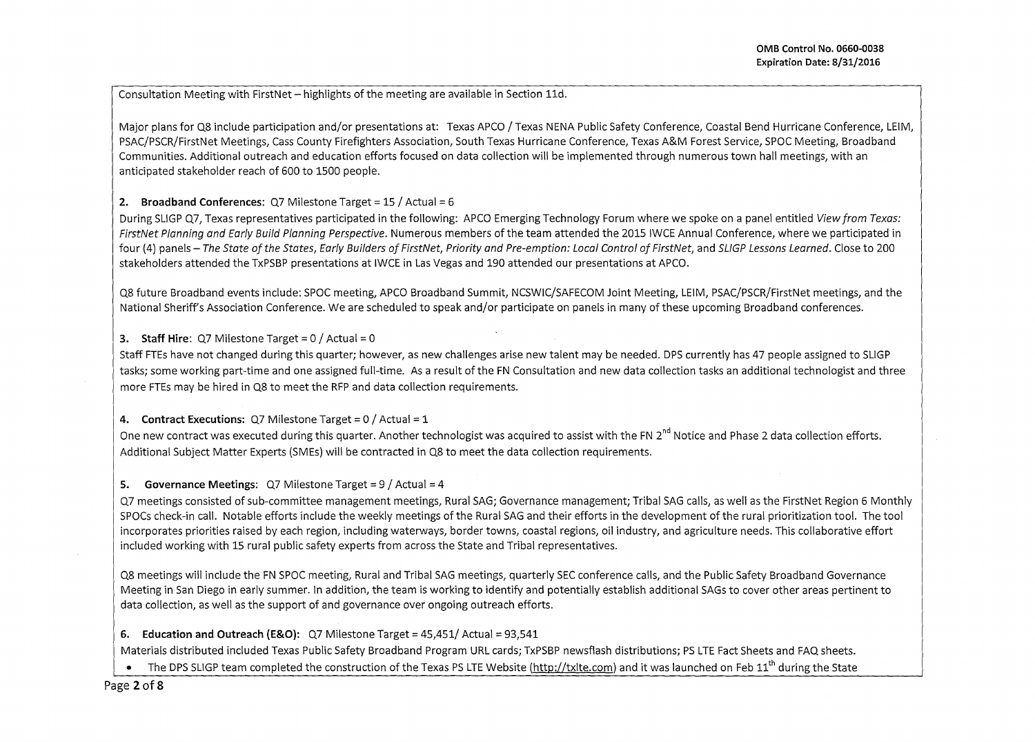Consultation Meeting with First Net-highlights of the meeting are available in Section 11d.

Major plans for Q8 include participation and/or presentations at: Texas APCO / Texas NENA Public Safety Conference, Coastal Bend Hurricane Conference, LEIM, PSAC/PSCR/FirstNet Meetings, Cass County Firefighters Association, South Texas Hurricane Conference, Texas A&M Forest Service, SPOC Meeting, Broadband Communities. Additional outreach and education efforts focused on data collection will be implemented through numerous town hall meetings, with an anticipated stakeholder reach of 600 to 1500 people.

**2. Broadband Conferences: Q7 Milestone Target = 15 / Actual = 6** 

During SLIGP Q7. Texas representatives participated in the following: APCO Emerging Technology Forum where we spoke on a panel entitled View from Texas: FirstNet Planning and Early Build Planning Perspective. Numerous members of the team attended the 2015 IWCE Annual Conference, where we participated in four (4) panels- The State of the States, Early Builders of FirstNet, Priority and Pre-emption: Local Control of FirstNet, and SLIGP Lessons Learned. Close to 200 stakeholders attended the TxPSBP presentations at IWCE in Las Vegas and 190 attended our presentations at APCO.

Q8 future Broadband events include: SPOC meeting, APCO Broadband Summit, NCSWIC/SAFECOM Joint Meeting, LEIM, PSAC/PSCR/FirstNet meetings, and the National Sheriffs Association Conference. We are scheduled to speak and/or participate on panels in many of these upcoming Broadband conferences.

## **3. Staff Hire:**  $Q7$  Milestone Target =  $0/$  Actual =  $0/$

Staff FTEs have not changed during this quarter; however, as new challenges arise new talent may be needed. DPS currently has 47 people assigned to SLIGP tasks; some working part-time and one assigned full-time. As a result of the FN Consultation and new data collection tasks an additional technologist and three more FTEs may be hired in Q8 to meet the RFP and data collection requirements.

### **4.** Contract Executions: Q7 Milestone Target = 0 / Actual = 1

One new contract was executed during this quarter. Another technologist was acquired to assist with the FN 2<sup>nd</sup> Notice and Phase 2 data collection efforts. Additional Subject Matter Experts (SMEs) will be contracted in Q8 to meet the data collection requirements.

## **5.** Governance Meetings: Q7 Milestone Target = 9 / Actual = 4

Q7 meetings consisted of sub-committee management meetings, Rural SAG; Governance management; Tribal SAG calls, as well as the FirstNet Region 6 Monthly SPOCs check-in call. Notable efforts include the weekly meetings of the Rural SAG and their efforts in the development of the rural prioritization tool. The tool incorporates priorities raised by each region, including waterways, border towns, coastal regions, oil industry, and agriculture needs. This collaborative effort included working with 15 rural public safety experts from across the State and Tribal representatives.

Q8 meetings will include the FN SPOC meeting, Rural and Tribal SAG meetings, quarterly SEC conference calls, and the Public Safety Broadband Governance Meeting in San Diego in early summer. In addition, the team is working to identify and potentially establish additional SAGs to cover other areas pertinent to data collection, as well as the support of and governance over ongoing outreach efforts.

## **6.** Education and Outreach (E&O): Q7 Milestone Target = 45,451/ Actual = 93,541

Materials distributed included Texas Public Safety Broadband Program URL cards; TxPSBP newsflash distributions; PS LTE Fact Sheets and FAQ sheets.

• The DPS SLIGP team completed the construction of the Texas PS LTE Website (http://txlte.com) and it was launched on Feb 11<sup>th</sup> during the State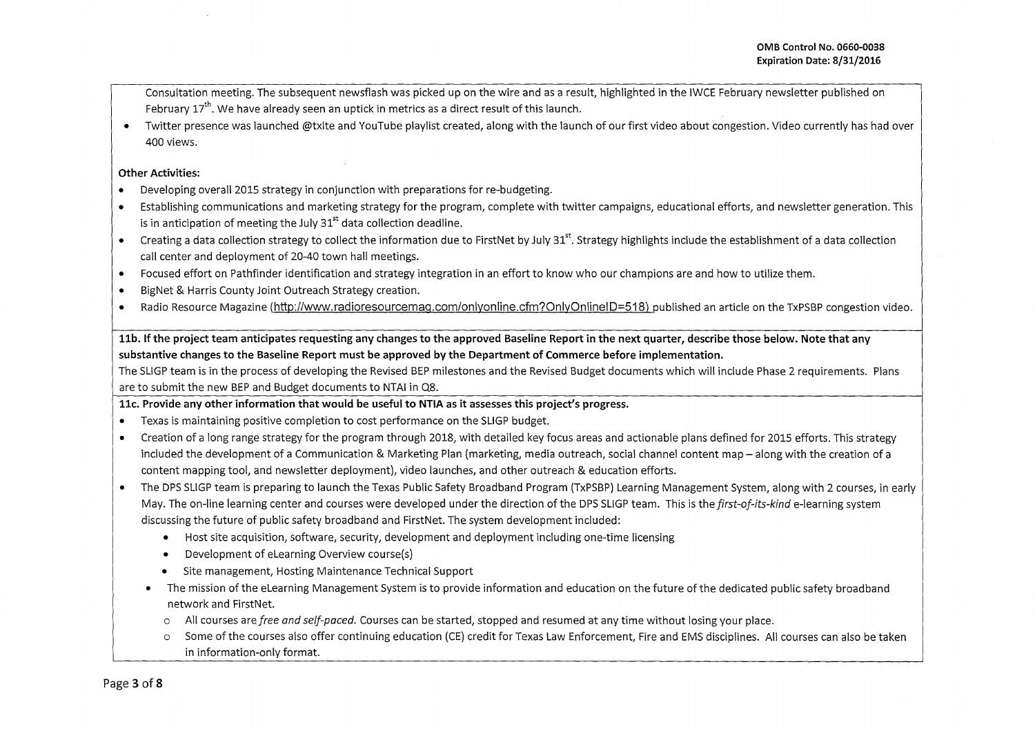Consultation meeting. The subsequent newsflash was picked up on the wire and as a result, highlighted in the IWCE February newsletter published on February 17<sup>th</sup>. We have already seen an uptick in metrics as a direct result of this launch.

• Twitter presence was launched @txlte and YouTube playlist created, along with the launch of our first video about congestion. Video currently has had over 400 views.

#### **Other Activities:**

- Developing overall 2015 strategy in conjunction with preparations for re-budgeting.
- Establishing communications and marketing strategy for the program, complete with twitter campaigns, educational efforts, and newsletter generation. This is in anticipation of meeting the July  $31<sup>st</sup>$  data collection deadline.
- Creating a data collection strategy to collect the information due to FirstNet by July 31<sup>st</sup>. Strategy highlights include the establishment of a data collection call center and deployment of 20-40 town hall meetings.
- Focused effort on Pathfinder identification and strategy integration in an effort to know who our champions are and how to utilize them.
- BigNet & Harris County Joint Outreach Strategy creation.
- Radio Resource Magazine (http://www.radioresourcemag.com/onlyonline.cfm?OnlyOnlineiD=518) published an article on the TxPSBP congestion video.

# **llb. If the project team anticipates requesting any changes to the approved Baseline Report in the next quarter, describe those below. Note that any substantive changes to the Baseline Report must be approved by the Department of Commerce before implementation.**

The SLIGP team is in the process of developing the Revised BEP milestones and the Revised Budget documents which will include Phase 2 requirements. Plans are to submit the new BEP and Budget documents to NTAI in Q8.

**llc. Provide any other information that would be useful to NTIA as it assesses this project's progress.** 

- Texas is maintaining positive completion to cost performance on the SLIGP budget.
- Creation of a long range strategy for the program through 2018, with detailed key focus areas and actionable plans defined for 2015 efforts. This strategy included the development of a Communication & Marketing Plan (marketing, media outreach, social channel content map- along with the creation of a content mapping tool, and newsletter deployment), video launches, and other outreach & education efforts.
- The DPS SLIGP team is preparing to launch the Texas Public Safety Broadband Program (TxPSBP) Learning Management System, along with 2 courses, in early May. The on-line learning center and courses were developed under the direction of the DPS SLIGP team. This is the *first-of-its-kinde-learning* system discussing the future of public safety broadband and FirstNet. The system development included:
	- Host site acquisition, software, security, development and deployment including one-time licensing
	- Development of eLearning Overview course(s)
	- Site management, Hosting Maintenance Technical Support
	- The mission ofthe eLearning Management System is to provide information and education on the future of the dedicated public safety broadband network and FirstNet.
		- o All courses are *free and self-paced.* Courses can be started, stopped and resumed at any time without losing your place.
		- o Some of the courses also offer continuing education (CE) credit for Texas Law Enforcement, Fire and EMS disciplines. All courses can also be taken in information-only format.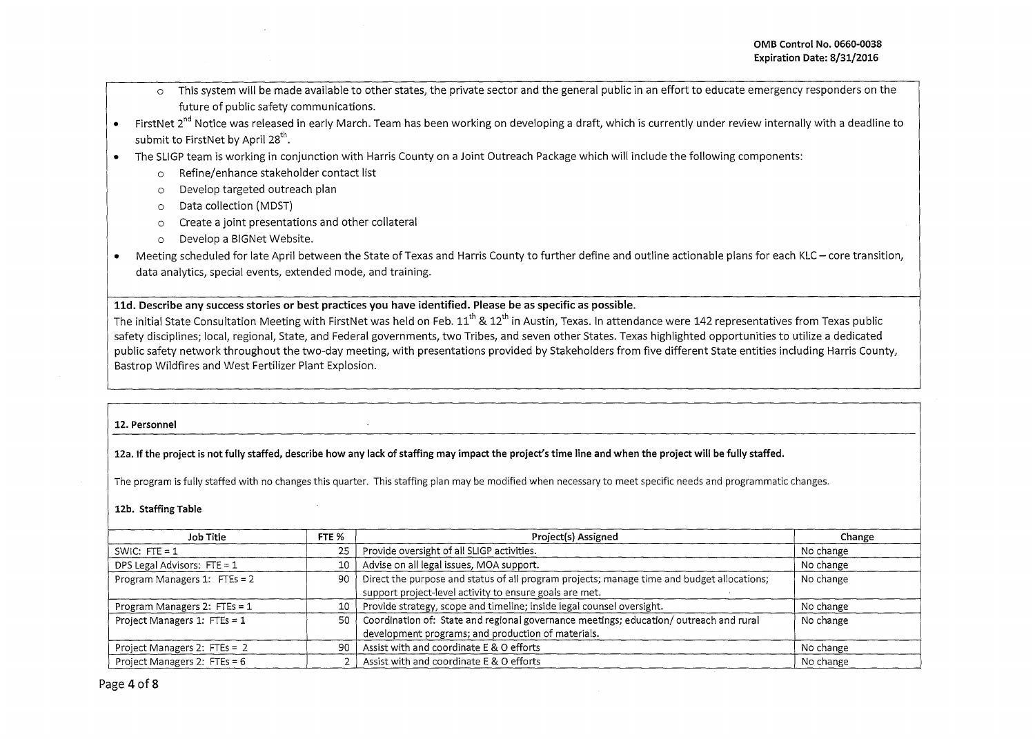- o This system will be made available to other states, the private sector and the general public in an effort to educate emergency responders on the future of public safety communications.
- FirstNet 2<sup>nd</sup> Notice was released in early March. Team has been working on developing a draft, which is currently under review internally with a deadline to submit to FirstNet by April  $28^{th}$ .
- The SLIGP team is working in conjunction with Harris County on a Joint Outreach Package which will include the following components:
	- o Refine/enhance stakeholder contact list
	- o Develop targeted outreach plan
	- o Data collection (MOST)
	- o Create a joint presentations and other collateral
	- o Develop a BIG Net Website.
- Meeting scheduled for late April between the State of Texas and Harris County to further define and outline actionable plans for each KLC- core transition, data analytics, special events, extended mode, and training.

#### **lld. Describe any success stories or best practices you have identified. Please be as specific as possible.**

The initial State Consultation Meeting with FirstNet was held on Feb.  $11<sup>th</sup>$  &  $12<sup>th</sup>$  in Austin, Texas. In attendance were 142 representatives from Texas public safety disciplines; local, regional, State, and Federal governments, two Tribes, and seven other States. Texas highlighted opportunities to utilize a dedicated public safety network throughout the two-day meeting, with presentations provided by Stakeholders from five different State entities including Harris County, Bastrop Wildfires and West Fertilizer Plant Explosion.

#### **12. Personnel**

**12a. If the project is not fully staffed, describe how any lack of staffing may impact the project's time line and when the project will be fully staffed.** 

The program is fully staffed with no changes this quarter. This staffing plan may be modified when necessary to meet specific needs and programmatic changes.

#### **12b. Staffing Table**

| Job Title                      | FTE %   | Project(s) Assigned                                                                                                                                   | Change    |
|--------------------------------|---------|-------------------------------------------------------------------------------------------------------------------------------------------------------|-----------|
| SWIC: $FTE = 1$                | 25      | Provide oversight of all SLIGP activities.                                                                                                            | No change |
| DPS Legal Advisors: $FTE = 1$  | $10-10$ | Advise on all legal issues, MOA support.                                                                                                              | No change |
| Program Managers 1: FTEs = 2   | 90      | Direct the purpose and status of all program projects; manage time and budget allocations;<br>support project-level activity to ensure goals are met. | No change |
| Program Managers 2: $FTEs = 1$ | 10 l    | Provide strategy, scope and timeline; inside legal counsel oversight.                                                                                 | No change |
| Project Managers 1: FTEs = 1   | 50      | Coordination of: State and regional governance meetings; education/outreach and rural<br>development programs; and production of materials.           | No change |
| Project Managers 2: FTEs = 2   | 90      | Assist with and coordinate E & O efforts                                                                                                              | No change |
| Project Managers 2: FTEs = $6$ |         | Assist with and coordinate E & O efforts                                                                                                              | No change |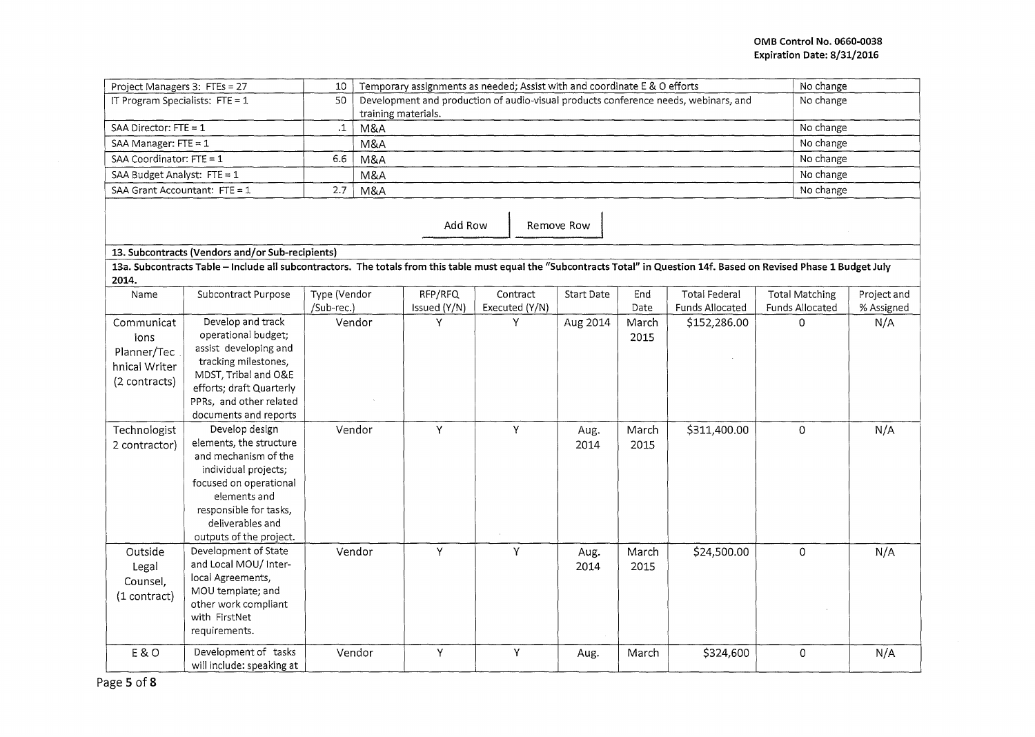| Project Managers 3: FTEs = 27                                                                                                                                                                                                                                                                              |                                                                                                                                                                            | 10                         | Temporary assignments as needed; Assist with and coordinate E & O efforts<br>No change |                                                                                     |                            |                          |                                |                                         |                                          |                           |  |
|------------------------------------------------------------------------------------------------------------------------------------------------------------------------------------------------------------------------------------------------------------------------------------------------------------|----------------------------------------------------------------------------------------------------------------------------------------------------------------------------|----------------------------|----------------------------------------------------------------------------------------|-------------------------------------------------------------------------------------|----------------------------|--------------------------|--------------------------------|-----------------------------------------|------------------------------------------|---------------------------|--|
| IT Program Specialists: $FTE = 1$                                                                                                                                                                                                                                                                          |                                                                                                                                                                            | 50                         | training materials.                                                                    | Development and production of audio-visual products conference needs, webinars, and |                            | No change                |                                |                                         |                                          |                           |  |
| SAA Director: FTE = 1                                                                                                                                                                                                                                                                                      |                                                                                                                                                                            | $\cdot$ 1                  | M&A                                                                                    |                                                                                     |                            |                          |                                |                                         |                                          | No change                 |  |
| SAA Manager: FTE = 1                                                                                                                                                                                                                                                                                       |                                                                                                                                                                            |                            | M&A                                                                                    |                                                                                     |                            | No change                |                                |                                         |                                          |                           |  |
| SAA Coordinator: FTE = 1                                                                                                                                                                                                                                                                                   |                                                                                                                                                                            | 6.6                        | M&A                                                                                    |                                                                                     |                            | No change                |                                |                                         |                                          |                           |  |
| SAA Budget Analyst: FTE = 1                                                                                                                                                                                                                                                                                |                                                                                                                                                                            |                            | M&A                                                                                    |                                                                                     |                            | No change                |                                |                                         |                                          |                           |  |
| SAA Grant Accountant: FTE = 1                                                                                                                                                                                                                                                                              |                                                                                                                                                                            | 2.7                        | M&A                                                                                    |                                                                                     |                            | No change                |                                |                                         |                                          |                           |  |
|                                                                                                                                                                                                                                                                                                            | 13. Subcontracts (Vendors and/or Sub-recipients)                                                                                                                           |                            |                                                                                        | Add Row                                                                             |                            | Remove Row               |                                |                                         |                                          |                           |  |
| 2014.                                                                                                                                                                                                                                                                                                      | 13a. Subcontracts Table - Include all subcontractors. The totals from this table must equal the "Subcontracts Total" in Question 14f. Based on Revised Phase 1 Budget July |                            |                                                                                        |                                                                                     |                            |                          |                                |                                         |                                          |                           |  |
| Name                                                                                                                                                                                                                                                                                                       | Subcontract Purpose                                                                                                                                                        | Type (Vendor<br>/Sub-rec.) |                                                                                        | RFP/RFQ<br>Issued (Y/N)                                                             | Contract<br>Executed (Y/N) | Start Date               | End<br>Date                    | <b>Total Federal</b><br>Funds Allocated | <b>Total Matching</b><br>Funds Allocated | Project and<br>% Assigned |  |
| Develop and track<br>Communicat<br>operational budget;<br>ions<br>assist developing and<br>Planner/Tec<br>tracking milestones,<br>hnical Writer<br>MDST, Tribal and O&E<br>(2 contracts)<br>efforts; draft Quarterly<br>PPRs, and other related<br>documents and reports<br>Develop design<br>Technologist |                                                                                                                                                                            |                            | Vendor<br>Vendor                                                                       | Y<br>Υ                                                                              | Y<br>Υ                     | Aug 2014<br>Aug.<br>2014 | March<br>2015<br>March<br>2015 | \$152,286.00<br>\$311,400.00            | $\Omega$<br>$\mathsf{O}$                 | N/A<br>N/A                |  |
| elements, the structure<br>2 contractor)<br>and mechanism of the<br>individual projects;<br>focused on operational<br>elements and<br>responsible for tasks,<br>deliverables and<br>outputs of the project.                                                                                                |                                                                                                                                                                            |                            |                                                                                        |                                                                                     |                            |                          |                                |                                         |                                          |                           |  |
| Development of State<br>Outside<br>and Local MOU/ Inter-<br>Legal<br>local Agreements,<br>Counsel,<br>MOU template; and<br>(1 contract)<br>other work compliant<br>with FirstNet<br>requirements.                                                                                                          |                                                                                                                                                                            |                            | Vendor                                                                                 | Y                                                                                   | Υ                          | Aug.<br>2014             | March<br>2015                  | \$24,500.00                             | $\Omega$                                 | N/A                       |  |
| <b>E&amp;O</b><br>$F - F$                                                                                                                                                                                                                                                                                  | Development of tasks<br>will include: speaking at                                                                                                                          |                            | Vendor                                                                                 | Υ                                                                                   | Υ                          | Aug.                     | March                          | \$324,600                               | 0                                        | N/A                       |  |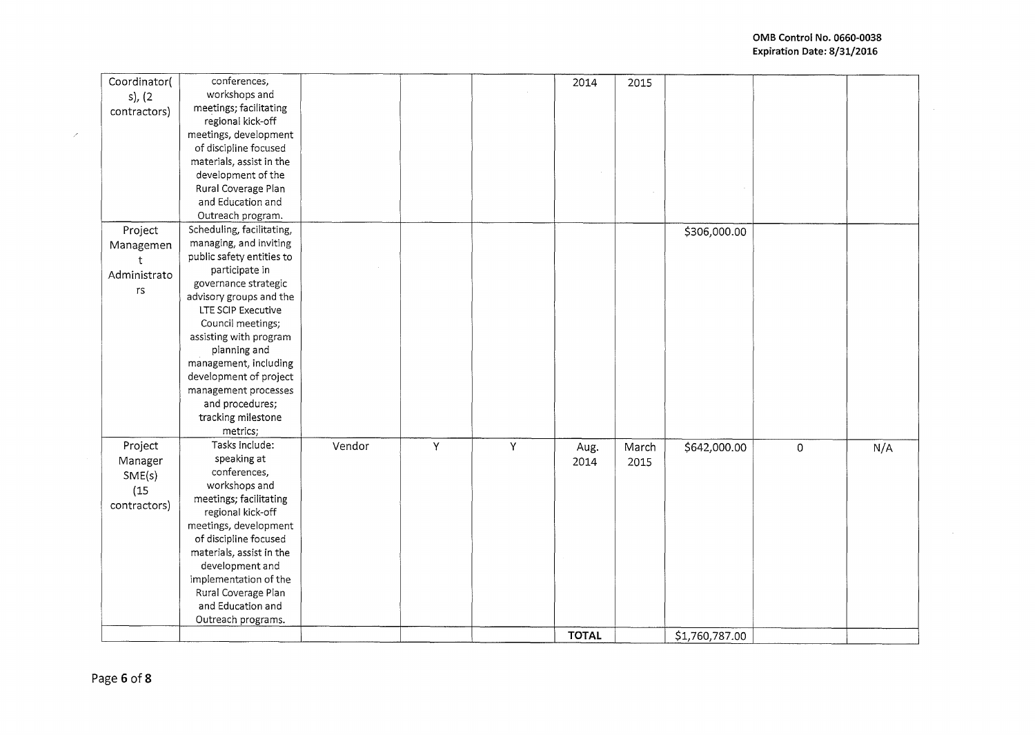$\sim$ 

| Coordinator( | conferences,              |        |   |   | 2014         | 2015  |                |                     |     |
|--------------|---------------------------|--------|---|---|--------------|-------|----------------|---------------------|-----|
| $s)$ , (2    | workshops and             |        |   |   |              |       |                |                     |     |
| contractors) | meetings; facilitating    |        |   |   |              |       |                |                     |     |
|              | regional kick-off         |        |   |   |              |       |                |                     |     |
|              | meetings, development     |        |   |   |              |       |                |                     |     |
|              | of discipline focused     |        |   |   |              |       |                |                     |     |
|              | materials, assist in the  |        |   |   |              |       |                |                     |     |
|              | development of the        |        |   |   |              |       |                |                     |     |
|              | Rural Coverage Plan       |        |   |   |              |       |                |                     |     |
|              | and Education and         |        |   |   |              |       |                |                     |     |
|              | Outreach program.         |        |   |   |              |       |                |                     |     |
| Project      | Scheduling, facilitating, |        |   |   |              |       | \$306,000.00   |                     |     |
| Managemen    | managing, and inviting    |        |   |   |              |       |                |                     |     |
|              | public safety entities to |        |   |   |              |       |                |                     |     |
|              | participate in            |        |   |   |              |       |                |                     |     |
| Administrato | governance strategic      |        |   |   |              |       |                |                     |     |
| rs           | advisory groups and the   |        |   |   |              |       |                |                     |     |
|              | LTE SCIP Executive        |        |   |   |              |       |                |                     |     |
|              | Council meetings;         |        |   |   |              |       |                |                     |     |
|              | assisting with program    |        |   |   |              |       |                |                     |     |
|              | planning and              |        |   |   |              |       |                |                     |     |
|              | management, including     |        |   |   |              |       |                |                     |     |
|              | development of project    |        |   |   |              |       |                |                     |     |
|              | management processes      |        |   |   |              |       |                |                     |     |
|              | and procedures;           |        |   |   |              |       |                |                     |     |
|              | tracking milestone        |        |   |   |              |       |                |                     |     |
|              | metrics;                  |        |   |   |              |       |                |                     |     |
| Project      | Tasks include:            | Vendor | Υ | Y | Aug.         | March | \$642,000.00   | $\mathsf{O}\xspace$ | N/A |
| Manager      | speaking at               |        |   |   | 2014         | 2015  |                |                     |     |
| SME(s)       | conferences,              |        |   |   |              |       |                |                     |     |
|              | workshops and             |        |   |   |              |       |                |                     |     |
| (15)         | meetings; facilitating    |        |   |   |              |       |                |                     |     |
| contractors) | regional kick-off         |        |   |   |              |       |                |                     |     |
|              | meetings, development     |        |   |   |              |       |                |                     |     |
|              | of discipline focused     |        |   |   |              |       |                |                     |     |
|              | materials, assist in the  |        |   |   |              |       |                |                     |     |
|              | development and           |        |   |   |              |       |                |                     |     |
|              | implementation of the     |        |   |   |              |       |                |                     |     |
|              | Rural Coverage Plan       |        |   |   |              |       |                |                     |     |
|              | and Education and         |        |   |   |              |       |                |                     |     |
|              | Outreach programs.        |        |   |   |              |       |                |                     |     |
|              |                           |        |   |   | <b>TOTAL</b> |       | \$1,760,787.00 |                     |     |
|              |                           |        |   |   |              |       |                |                     |     |

 $\mathcal{S}^{\mathcal{S}}$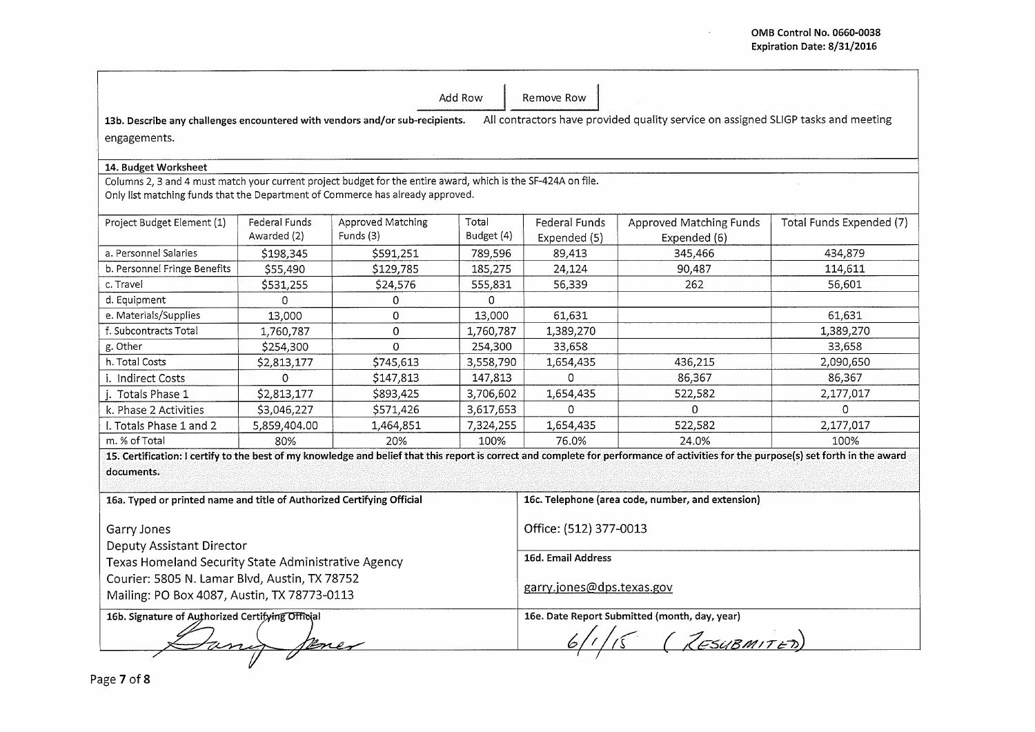$\sim 10$ 

|                                                                                                                                                                                                 |                      |                   | Add Row                   | Remove Row                                        |                                                                                                                                                                                      |                          |  |  |  |  |  |
|-------------------------------------------------------------------------------------------------------------------------------------------------------------------------------------------------|----------------------|-------------------|---------------------------|---------------------------------------------------|--------------------------------------------------------------------------------------------------------------------------------------------------------------------------------------|--------------------------|--|--|--|--|--|
| All contractors have provided quality service on assigned SLIGP tasks and meeting<br>13b. Describe any challenges encountered with vendors and/or sub-recipients.                               |                      |                   |                           |                                                   |                                                                                                                                                                                      |                          |  |  |  |  |  |
| engagements.                                                                                                                                                                                    |                      |                   |                           |                                                   |                                                                                                                                                                                      |                          |  |  |  |  |  |
|                                                                                                                                                                                                 |                      |                   |                           |                                                   |                                                                                                                                                                                      |                          |  |  |  |  |  |
| 14. Budget Worksheet                                                                                                                                                                            |                      |                   |                           |                                                   |                                                                                                                                                                                      |                          |  |  |  |  |  |
| Columns 2, 3 and 4 must match your current project budget for the entire award, which is the SF-424A on file.<br>Only list matching funds that the Department of Commerce has already approved. |                      |                   |                           |                                                   |                                                                                                                                                                                      |                          |  |  |  |  |  |
| Project Budget Element (1)                                                                                                                                                                      | <b>Federal Funds</b> | Approved Matching | Total                     | Federal Funds                                     | Approved Matching Funds                                                                                                                                                              | Total Funds Expended (7) |  |  |  |  |  |
|                                                                                                                                                                                                 | Awarded (2)          | Funds (3)         | Budget (4)                | Expended (5)                                      | Expended (6)                                                                                                                                                                         |                          |  |  |  |  |  |
| a. Personnel Salaries                                                                                                                                                                           | \$198,345            | \$591.251         | 789,596                   | 89.413                                            | 345.466                                                                                                                                                                              | 434,879                  |  |  |  |  |  |
| b. Personnel Fringe Benefits                                                                                                                                                                    | \$55,490             | \$129,785         | 185,275                   | 24,124                                            | 90,487                                                                                                                                                                               | 114,611                  |  |  |  |  |  |
| c. Travel                                                                                                                                                                                       | \$531,255            | \$24,576          | 555,831                   | 56,339                                            | 262                                                                                                                                                                                  | 56,601                   |  |  |  |  |  |
| d. Equipment                                                                                                                                                                                    | 0                    | 0                 | 0                         |                                                   |                                                                                                                                                                                      |                          |  |  |  |  |  |
| e. Materials/Supplies                                                                                                                                                                           | 13,000               | 0                 | 13.000                    | 61.631                                            |                                                                                                                                                                                      | 61,631                   |  |  |  |  |  |
| f. Subcontracts Total                                                                                                                                                                           | 1,760,787            | 0                 | 1,760,787                 | 1,389,270                                         |                                                                                                                                                                                      | 1,389,270                |  |  |  |  |  |
| g. Other                                                                                                                                                                                        | \$254,300            | 0                 | 254,300                   | 33,658                                            |                                                                                                                                                                                      | 33,658                   |  |  |  |  |  |
| h. Total Costs                                                                                                                                                                                  | \$2,813,177          | \$745,613         | 3,558,790                 | 1,654,435                                         | 436,215                                                                                                                                                                              | 2,090,650                |  |  |  |  |  |
| i. Indirect Costs                                                                                                                                                                               | $\mathbf{0}$         | \$147,813         | 147,813                   | $\Omega$                                          | 86,367                                                                                                                                                                               | 86,367                   |  |  |  |  |  |
| Totals Phase 1                                                                                                                                                                                  | \$2,813,177          | \$893,425         | 3,706,602                 | 1,654,435                                         | 522,582                                                                                                                                                                              | 2,177,017                |  |  |  |  |  |
| k. Phase 2 Activities                                                                                                                                                                           | \$3,046,227          | \$571,426         | 3,617,653                 | $\Omega$                                          | 0                                                                                                                                                                                    | $\Omega$                 |  |  |  |  |  |
| I. Totals Phase 1 and 2                                                                                                                                                                         | 5,859,404.00         | 1,464,851         | 7,324,255                 | 1,654,435                                         | 522,582                                                                                                                                                                              | 2,177,017                |  |  |  |  |  |
| m. % of Total                                                                                                                                                                                   | 80%                  | 20%               | 100%                      | 76.0%                                             | 24.0%                                                                                                                                                                                | 100%                     |  |  |  |  |  |
| documents.                                                                                                                                                                                      |                      |                   |                           |                                                   | 15. Certification: I certify to the best of my knowledge and belief that this report is correct and complete for performance of activities for the purpose(s) set forth in the award |                          |  |  |  |  |  |
| 16a. Typed or printed name and title of Authorized Certifying Official                                                                                                                          |                      |                   |                           | 16c. Telephone (area code, number, and extension) |                                                                                                                                                                                      |                          |  |  |  |  |  |
| Garry Jones<br><b>Deputy Assistant Director</b>                                                                                                                                                 |                      |                   |                           | Office: (512) 377-0013                            |                                                                                                                                                                                      |                          |  |  |  |  |  |
| Texas Homeland Security State Administrative Agency                                                                                                                                             |                      |                   | 16d. Email Address        |                                                   |                                                                                                                                                                                      |                          |  |  |  |  |  |
| Courier: 5805 N. Lamar Blvd, Austin, TX 78752<br>Mailing: PO Box 4087, Austin, TX 78773-0113                                                                                                    |                      |                   | garry.jones@dps.texas.gov |                                                   |                                                                                                                                                                                      |                          |  |  |  |  |  |
| 16b. Signature of Authorized Certifying Official                                                                                                                                                |                      |                   |                           | 16e. Date Report Submitted (month, day, year)     |                                                                                                                                                                                      |                          |  |  |  |  |  |
|                                                                                                                                                                                                 |                      |                   |                           |                                                   | (RESUBMITED)                                                                                                                                                                         |                          |  |  |  |  |  |
|                                                                                                                                                                                                 |                      |                   |                           |                                                   |                                                                                                                                                                                      |                          |  |  |  |  |  |